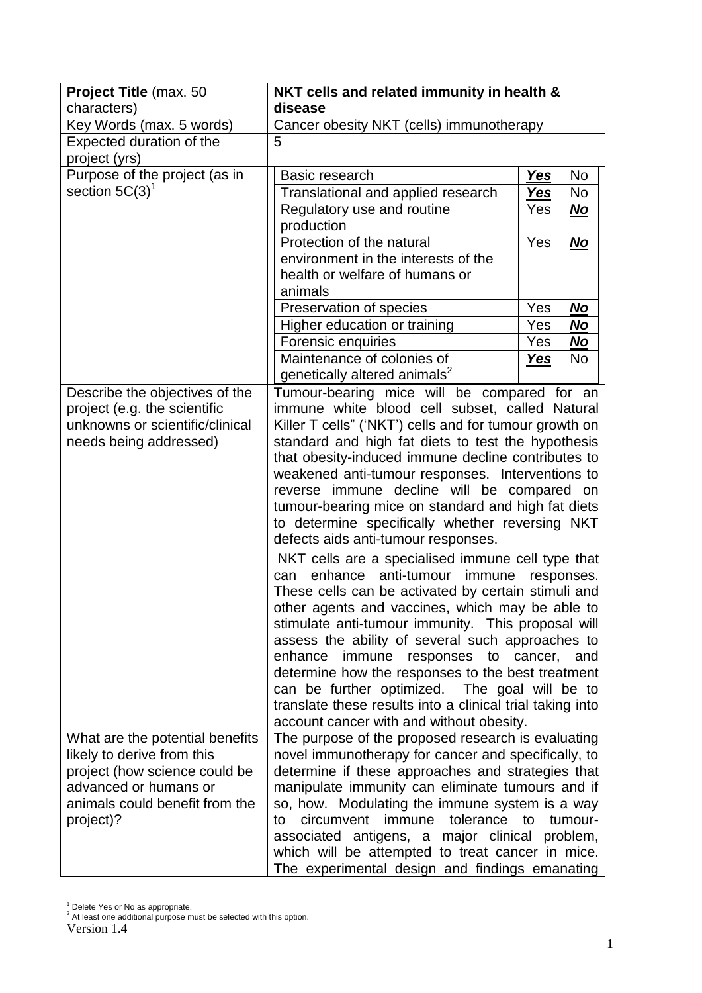| Project Title (max. 50          | NKT cells and related immunity in health &                                                            |            |            |
|---------------------------------|-------------------------------------------------------------------------------------------------------|------------|------------|
| characters)                     | disease                                                                                               |            |            |
| Key Words (max. 5 words)        | Cancer obesity NKT (cells) immunotherapy                                                              |            |            |
| <b>Expected duration of the</b> | 5                                                                                                     |            |            |
| project (yrs)                   |                                                                                                       |            |            |
| Purpose of the project (as in   | Basic research                                                                                        | Yes        | No         |
| section $5C(3)^1$               | Translational and applied research                                                                    | <b>Yes</b> | No         |
|                                 | Regulatory use and routine<br>production                                                              | Yes        | <u>No</u>  |
|                                 | Protection of the natural                                                                             | Yes        | <u>No</u>  |
|                                 | environment in the interests of the                                                                   |            |            |
|                                 | health or welfare of humans or                                                                        |            |            |
|                                 | animals                                                                                               |            |            |
|                                 | Preservation of species                                                                               | Yes        | No         |
|                                 | Higher education or training                                                                          | Yes        | No         |
|                                 | Forensic enquiries                                                                                    | Yes        | No         |
|                                 | Maintenance of colonies of                                                                            | Yes        | <b>No</b>  |
|                                 | genetically altered animals <sup>2</sup>                                                              |            |            |
| Describe the objectives of the  | Tumour-bearing mice will be compared for an                                                           |            |            |
| project (e.g. the scientific    | immune white blood cell subset, called Natural                                                        |            |            |
| unknowns or scientific/clinical | Killer T cells" ('NKT') cells and for tumour growth on                                                |            |            |
| needs being addressed)          | standard and high fat diets to test the hypothesis                                                    |            |            |
|                                 | that obesity-induced immune decline contributes to                                                    |            |            |
|                                 | weakened anti-tumour responses. Interventions to                                                      |            |            |
|                                 | reverse immune decline will be compared on                                                            |            |            |
|                                 | tumour-bearing mice on standard and high fat diets                                                    |            |            |
|                                 | to determine specifically whether reversing NKT                                                       |            |            |
|                                 | defects aids anti-tumour responses.                                                                   |            |            |
|                                 | NKT cells are a specialised immune cell type that                                                     |            |            |
|                                 | anti-tumour<br>enhance<br>immune<br>can                                                               |            | responses. |
|                                 | These cells can be activated by certain stimuli and                                                   |            |            |
|                                 | other agents and vaccines, which may be able to<br>stimulate anti-tumour immunity. This proposal will |            |            |
|                                 | assess the ability of several such approaches to                                                      |            |            |
|                                 | enhance<br>responses to cancer,<br>immune                                                             |            | and        |
|                                 | determine how the responses to the best treatment                                                     |            |            |
|                                 | can be further optimized. The goal will be to                                                         |            |            |
|                                 | translate these results into a clinical trial taking into                                             |            |            |
|                                 | account cancer with and without obesity.                                                              |            |            |
| What are the potential benefits | The purpose of the proposed research is evaluating                                                    |            |            |
| likely to derive from this      | novel immunotherapy for cancer and specifically, to                                                   |            |            |
| project (how science could be   | determine if these approaches and strategies that                                                     |            |            |
| advanced or humans or           | manipulate immunity can eliminate tumours and if                                                      |            |            |
| animals could benefit from the  | so, how. Modulating the immune system is a way                                                        |            |            |
| project)?                       | immune tolerance to<br>circumvent<br>to                                                               |            | tumour-    |
|                                 | associated antigens, a major clinical problem,                                                        |            |            |
|                                 | which will be attempted to treat cancer in mice.                                                      |            |            |
|                                 | The experimental design and findings emanating                                                        |            |            |

<sup>-</sup><sup>1</sup> Delete Yes or No as appropriate.

Version 1.4

 $2$  At least one additional purpose must be selected with this option.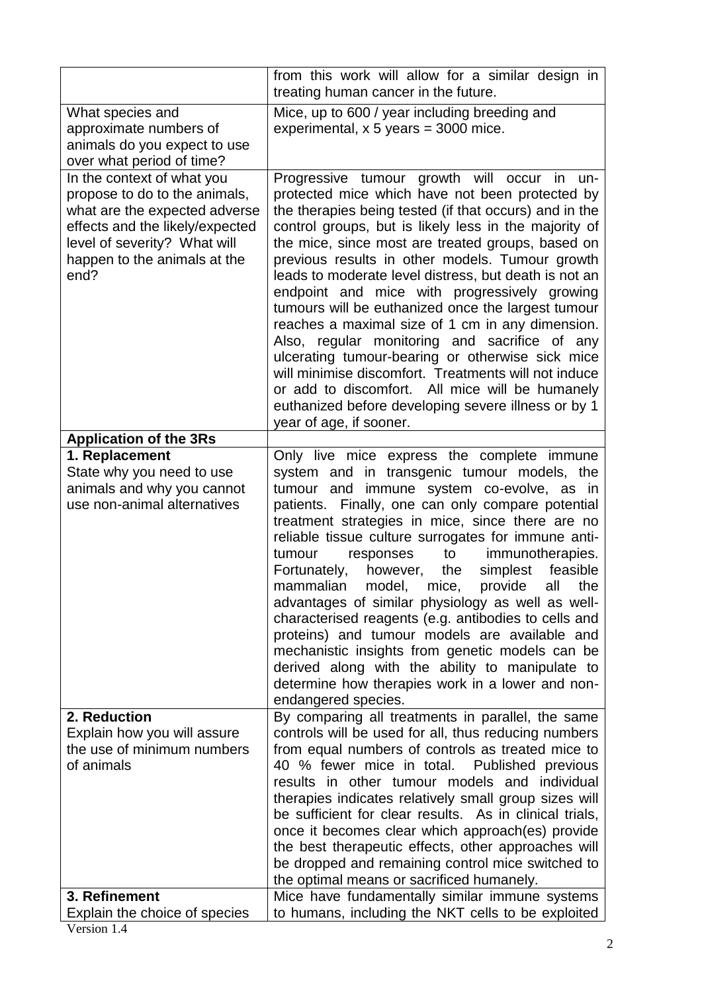| treating human cancer in the future.                                                                                                                                                                                                                                                                                                                                                                                                                                                                                                                                                                                                                                                                                                                                                                                                                                                                                                                                                                                                                     | from this work will allow for a similar design in |
|----------------------------------------------------------------------------------------------------------------------------------------------------------------------------------------------------------------------------------------------------------------------------------------------------------------------------------------------------------------------------------------------------------------------------------------------------------------------------------------------------------------------------------------------------------------------------------------------------------------------------------------------------------------------------------------------------------------------------------------------------------------------------------------------------------------------------------------------------------------------------------------------------------------------------------------------------------------------------------------------------------------------------------------------------------|---------------------------------------------------|
| Mice, up to 600 / year including breeding and<br>What species and<br>approximate numbers of<br>experimental, $x 5$ years = 3000 mice.<br>animals do you expect to use<br>over what period of time?                                                                                                                                                                                                                                                                                                                                                                                                                                                                                                                                                                                                                                                                                                                                                                                                                                                       |                                                   |
| In the context of what you<br>Progressive tumour growth will occur<br>in<br>propose to do to the animals,<br>protected mice which have not been protected by<br>what are the expected adverse<br>the therapies being tested (if that occurs) and in the<br>effects and the likely/expected<br>control groups, but is likely less in the majority of<br>the mice, since most are treated groups, based on<br>level of severity? What will<br>previous results in other models. Tumour growth<br>happen to the animals at the<br>leads to moderate level distress, but death is not an<br>end?<br>endpoint and mice with progressively growing<br>tumours will be euthanized once the largest tumour<br>reaches a maximal size of 1 cm in any dimension.<br>Also, regular monitoring and sacrifice of any<br>ulcerating tumour-bearing or otherwise sick mice<br>will minimise discomfort. Treatments will not induce<br>or add to discomfort. All mice will be humanely<br>euthanized before developing severe illness or by 1<br>year of age, if sooner. | un-                                               |
| <b>Application of the 3Rs</b>                                                                                                                                                                                                                                                                                                                                                                                                                                                                                                                                                                                                                                                                                                                                                                                                                                                                                                                                                                                                                            |                                                   |
| 1. Replacement<br>Only live mice express the complete immune<br>State why you need to use<br>system and in transgenic tumour models, the<br>animals and why you cannot<br>tumour and immune system co-evolve, as in<br>use non-animal alternatives<br>patients. Finally, one can only compare potential<br>treatment strategies in mice, since there are no<br>reliable tissue culture surrogates for immune anti-<br>to<br>immunotherapies.<br>tumour<br>responses<br>Fortunately,<br>however,<br>the<br>simplest<br>mammalian<br>model,<br>mice,<br>provide<br>all<br>advantages of similar physiology as well as well-<br>characterised reagents (e.g. antibodies to cells and<br>proteins) and tumour models are available and<br>mechanistic insights from genetic models can be<br>derived along with the ability to manipulate to<br>determine how therapies work in a lower and non-<br>endangered species.                                                                                                                                      | feasible<br>the                                   |
| 2. Reduction<br>By comparing all treatments in parallel, the same<br>Explain how you will assure<br>controls will be used for all, thus reducing numbers<br>the use of minimum numbers<br>from equal numbers of controls as treated mice to<br>of animals<br>40 % fewer mice in total.<br>Published previous<br>results in other tumour models and individual<br>therapies indicates relatively small group sizes will<br>be sufficient for clear results. As in clinical trials,                                                                                                                                                                                                                                                                                                                                                                                                                                                                                                                                                                        |                                                   |
| once it becomes clear which approach(es) provide<br>the best therapeutic effects, other approaches will<br>be dropped and remaining control mice switched to<br>the optimal means or sacrificed humanely.<br>3. Refinement<br>Mice have fundamentally similar immune systems                                                                                                                                                                                                                                                                                                                                                                                                                                                                                                                                                                                                                                                                                                                                                                             |                                                   |